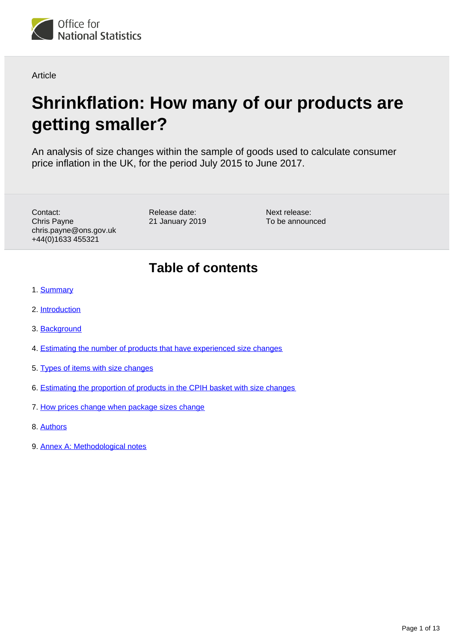

Article

# **Shrinkflation: How many of our products are getting smaller?**

An analysis of size changes within the sample of goods used to calculate consumer price inflation in the UK, for the period July 2015 to June 2017.

Contact: Chris Payne chris.payne@ons.gov.uk +44(0)1633 455321

Release date: 21 January 2019 Next release: To be announced

# **Table of contents**

- 1. [Summary](#page-1-0)
- 2. [Introduction](#page-1-1)
- 3. [Background](#page-1-2)
- 4. [Estimating the number of products that have experienced size changes](#page-2-0)
- 5. [Types of items with size changes](#page-5-0)
- 6. [Estimating the proportion of products in the CPIH basket with size changes](#page-6-0)
- 7. [How prices change when package sizes change](#page-7-0)
- 8. [Authors](#page-8-0)
- 9. [Annex A: Methodological notes](#page-8-1)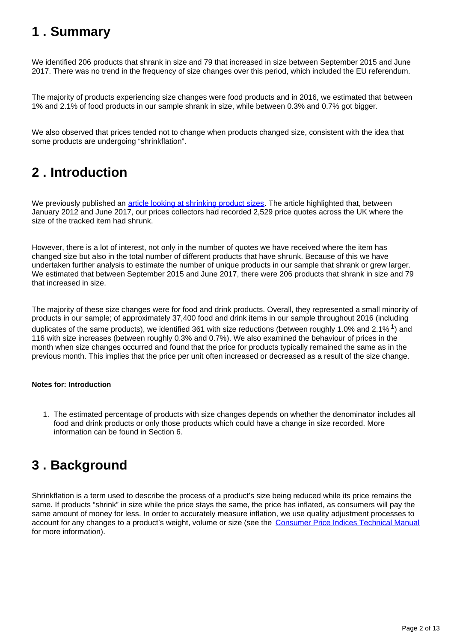# <span id="page-1-0"></span>**1 . Summary**

We identified 206 products that shrank in size and 79 that increased in size between September 2015 and June 2017. There was no trend in the frequency of size changes over this period, which included the EU referendum.

The majority of products experiencing size changes were food products and in 2016, we estimated that between 1% and 2.1% of food products in our sample shrank in size, while between 0.3% and 0.7% got bigger.

We also observed that prices tended not to change when products changed size, consistent with the idea that some products are undergoing "shrinkflation".

# <span id="page-1-1"></span>**2 . Introduction**

We previously published an [article looking at shrinking product sizes.](https://www.ons.gov.uk/economy/inflationandpriceindices/articles/theimpactofshrinkflationoncpihuk/january2012tojune2017) The article highlighted that, between January 2012 and June 2017, our prices collectors had recorded 2,529 price quotes across the UK where the size of the tracked item had shrunk.

However, there is a lot of interest, not only in the number of quotes we have received where the item has changed size but also in the total number of different products that have shrunk. Because of this we have undertaken further analysis to estimate the number of unique products in our sample that shrank or grew larger. We estimated that between September 2015 and June 2017, there were 206 products that shrank in size and 79 that increased in size.

The majority of these size changes were for food and drink products. Overall, they represented a small minority of products in our sample; of approximately 37,400 food and drink items in our sample throughout 2016 (including duplicates of the same products), we identified 361 with size reductions (between roughly 1.0% and 2.1%  $1$ ) and 116 with size increases (between roughly 0.3% and 0.7%). We also examined the behaviour of prices in the month when size changes occurred and found that the price for products typically remained the same as in the previous month. This implies that the price per unit often increased or decreased as a result of the size change.

#### **Notes for: Introduction**

1. The estimated percentage of products with size changes depends on whether the denominator includes all food and drink products or only those products which could have a change in size recorded. More information can be found in Section 6.

### <span id="page-1-2"></span>**3 . Background**

Shrinkflation is a term used to describe the process of a product's size being reduced while its price remains the same. If products "shrink" in size while the price stays the same, the price has inflated, as consumers will pay the same amount of money for less. In order to accurately measure inflation, we use quality adjustment processes to account for any changes to a product's weight, volume or size (see the [Consumer Price Indices Technical Manual](https://webarchive.nationalarchives.gov.uk/20160109133536/http:/www.ons.gov.uk/ons/rel/cpi/consumer-price-indices---technical-manual/2014/index.html) for more information).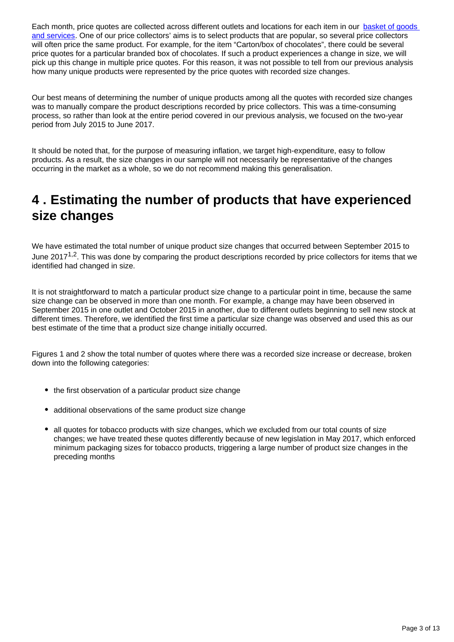Each month, price quotes are collected across different outlets and locations for each item in our [basket of goods](https://www.ons.gov.uk/economy/inflationandpriceindices/articles/ukconsumerpriceinflationbasketofgoodsandservices/2018)  [and services.](https://www.ons.gov.uk/economy/inflationandpriceindices/articles/ukconsumerpriceinflationbasketofgoodsandservices/2018) One of our price collectors' aims is to select products that are popular, so several price collectors will often price the same product. For example, for the item "Carton/box of chocolates", there could be several price quotes for a particular branded box of chocolates. If such a product experiences a change in size, we will pick up this change in multiple price quotes. For this reason, it was not possible to tell from our previous analysis how many unique products were represented by the price quotes with recorded size changes.

Our best means of determining the number of unique products among all the quotes with recorded size changes was to manually compare the product descriptions recorded by price collectors. This was a time-consuming process, so rather than look at the entire period covered in our previous analysis, we focused on the two-year period from July 2015 to June 2017.

It should be noted that, for the purpose of measuring inflation, we target high-expenditure, easy to follow products. As a result, the size changes in our sample will not necessarily be representative of the changes occurring in the market as a whole, so we do not recommend making this generalisation.

### <span id="page-2-0"></span>**4 . Estimating the number of products that have experienced size changes**

We have estimated the total number of unique product size changes that occurred between September 2015 to June 2017<sup>1,2</sup>. This was done by comparing the product descriptions recorded by price collectors for items that we identified had changed in size.

It is not straightforward to match a particular product size change to a particular point in time, because the same size change can be observed in more than one month. For example, a change may have been observed in September 2015 in one outlet and October 2015 in another, due to different outlets beginning to sell new stock at different times. Therefore, we identified the first time a particular size change was observed and used this as our best estimate of the time that a product size change initially occurred.

Figures 1 and 2 show the total number of quotes where there was a recorded size increase or decrease, broken down into the following categories:

- the first observation of a particular product size change
- additional observations of the same product size change
- all quotes for tobacco products with size changes, which we excluded from our total counts of size changes; we have treated these quotes differently because of new legislation in May 2017, which enforced minimum packaging sizes for tobacco products, triggering a large number of product size changes in the preceding months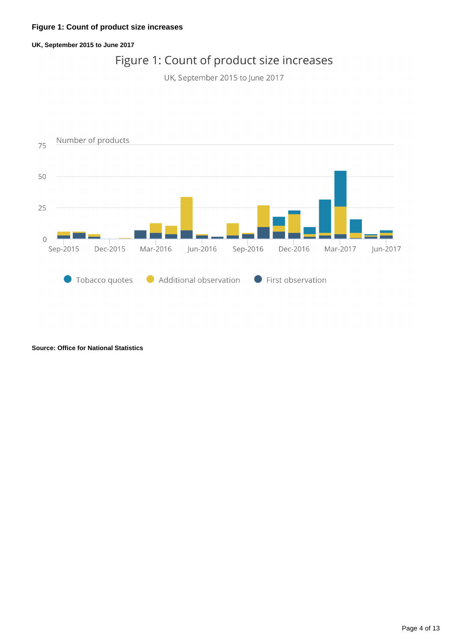#### **Figure 1: Count of product size increases**

**UK, September 2015 to June 2017**

### Figure 1: Count of product size increases

UK, September 2015 to June 2017



**Source: Office for National Statistics**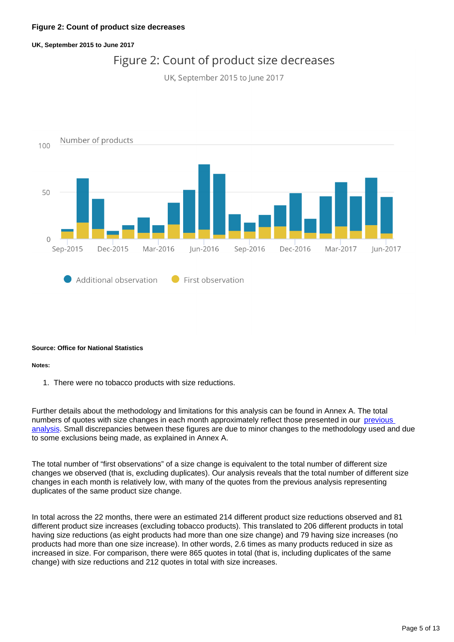#### **Figure 2: Count of product size decreases**

**UK, September 2015 to June 2017**

### Figure 2: Count of product size decreases

UK, September 2015 to June 2017



#### **Source: Office for National Statistics**

#### **Notes:**

1. There were no tobacco products with size reductions.

Further details about the methodology and limitations for this analysis can be found in Annex A. The total numbers of quotes with size changes in each month approximately reflect those presented in our previous [analysis](https://www.ons.gov.uk/economy/inflationandpriceindices/articles/theimpactofshrinkflationoncpihuk/january2012tojune2017). Small discrepancies between these figures are due to minor changes to the methodology used and due to some exclusions being made, as explained in Annex A.

The total number of "first observations" of a size change is equivalent to the total number of different size changes we observed (that is, excluding duplicates). Our analysis reveals that the total number of different size changes in each month is relatively low, with many of the quotes from the previous analysis representing duplicates of the same product size change.

In total across the 22 months, there were an estimated 214 different product size reductions observed and 81 different product size increases (excluding tobacco products). This translated to 206 different products in total having size reductions (as eight products had more than one size change) and 79 having size increases (no products had more than one size increase). In other words, 2.6 times as many products reduced in size as increased in size. For comparison, there were 865 quotes in total (that is, including duplicates of the same change) with size reductions and 212 quotes in total with size increases.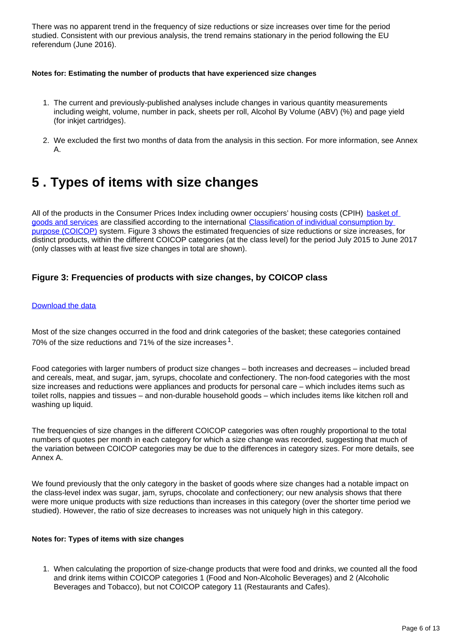There was no apparent trend in the frequency of size reductions or size increases over time for the period studied. Consistent with our previous analysis, the trend remains stationary in the period following the EU referendum (June 2016).

#### **Notes for: Estimating the number of products that have experienced size changes**

- 1. The current and previously-published analyses include changes in various quantity measurements including weight, volume, number in pack, sheets per roll, Alcohol By Volume (ABV) (%) and page yield (for inkjet cartridges).
- 2. We excluded the first two months of data from the analysis in this section. For more information, see Annex A.

### <span id="page-5-0"></span>**5 . Types of items with size changes**

All of the products in the Consumer Prices Index including owner occupiers' housing costs (CPIH) basket of [goods and services](https://www.ons.gov.uk/economy/inflationandpriceindices/articles/ukconsumerpriceinflationbasketofgoodsandservices/2018) are classified according to the international [Classification of individual consumption by](https://ec.europa.eu/eurostat/statistics-explained/index.php/Glossary:Classification_of_individual_consumption_by_purpose_(COICOP))  [purpose \(COICOP\)](https://ec.europa.eu/eurostat/statistics-explained/index.php/Glossary:Classification_of_individual_consumption_by_purpose_(COICOP)) system. Figure 3 shows the estimated frequencies of size reductions or size increases, for distinct products, within the different COICOP categories (at the class level) for the period July 2015 to June 2017 (only classes with at least five size changes in total are shown).

#### **Figure 3: Frequencies of products with size changes, by COICOP class**

#### [Download the data](https://www.ons.gov.uk/visualisations/dvc580/figure3/data.xlsx)

Most of the size changes occurred in the food and drink categories of the basket; these categories contained 70% of the size reductions and 71% of the size increases  $^1$ .

Food categories with larger numbers of product size changes – both increases and decreases – included bread and cereals, meat, and sugar, jam, syrups, chocolate and confectionery. The non-food categories with the most size increases and reductions were appliances and products for personal care – which includes items such as toilet rolls, nappies and tissues – and non-durable household goods – which includes items like kitchen roll and washing up liquid.

The frequencies of size changes in the different COICOP categories was often roughly proportional to the total numbers of quotes per month in each category for which a size change was recorded, suggesting that much of the variation between COICOP categories may be due to the differences in category sizes. For more details, see Annex A.

We found previously that the only category in the basket of goods where size changes had a notable impact on the class-level index was sugar, jam, syrups, chocolate and confectionery; our new analysis shows that there were more unique products with size reductions than increases in this category (over the shorter time period we studied). However, the ratio of size decreases to increases was not uniquely high in this category.

#### **Notes for: Types of items with size changes**

1. When calculating the proportion of size-change products that were food and drinks, we counted all the food and drink items within COICOP categories 1 (Food and Non-Alcoholic Beverages) and 2 (Alcoholic Beverages and Tobacco), but not COICOP category 11 (Restaurants and Cafes).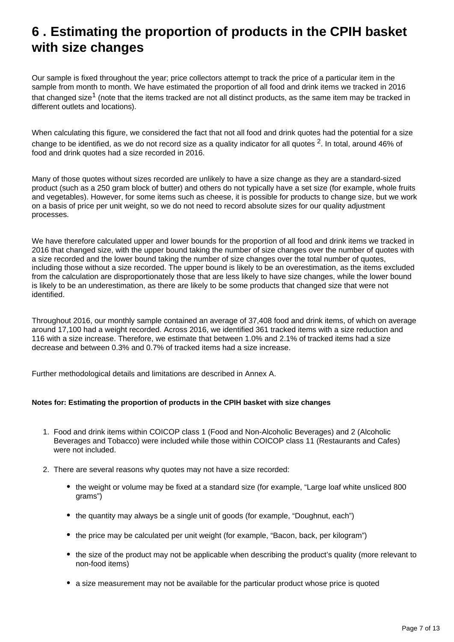### <span id="page-6-0"></span>**6 . Estimating the proportion of products in the CPIH basket with size changes**

Our sample is fixed throughout the year; price collectors attempt to track the price of a particular item in the sample from month to month. We have estimated the proportion of all food and drink items we tracked in 2016 that changed size<sup>1</sup> (note that the items tracked are not all distinct products, as the same item may be tracked in different outlets and locations).

When calculating this figure, we considered the fact that not all food and drink quotes had the potential for a size change to be identified, as we do not record size as a quality indicator for all quotes  $2$ . In total, around 46% of food and drink quotes had a size recorded in 2016.

Many of those quotes without sizes recorded are unlikely to have a size change as they are a standard-sized product (such as a 250 gram block of butter) and others do not typically have a set size (for example, whole fruits and vegetables). However, for some items such as cheese, it is possible for products to change size, but we work on a basis of price per unit weight, so we do not need to record absolute sizes for our quality adjustment processes.

We have therefore calculated upper and lower bounds for the proportion of all food and drink items we tracked in 2016 that changed size, with the upper bound taking the number of size changes over the number of quotes with a size recorded and the lower bound taking the number of size changes over the total number of quotes, including those without a size recorded. The upper bound is likely to be an overestimation, as the items excluded from the calculation are disproportionately those that are less likely to have size changes, while the lower bound is likely to be an underestimation, as there are likely to be some products that changed size that were not identified.

Throughout 2016, our monthly sample contained an average of 37,408 food and drink items, of which on average around 17,100 had a weight recorded. Across 2016, we identified 361 tracked items with a size reduction and 116 with a size increase. Therefore, we estimate that between 1.0% and 2.1% of tracked items had a size decrease and between 0.3% and 0.7% of tracked items had a size increase.

Further methodological details and limitations are described in Annex A.

#### **Notes for: Estimating the proportion of products in the CPIH basket with size changes**

- 1. Food and drink items within COICOP class 1 (Food and Non-Alcoholic Beverages) and 2 (Alcoholic Beverages and Tobacco) were included while those within COICOP class 11 (Restaurants and Cafes) were not included.
- 2. There are several reasons why quotes may not have a size recorded:
	- the weight or volume may be fixed at a standard size (for example, "Large loaf white unsliced 800 grams")
	- the quantity may always be a single unit of goods (for example, "Doughnut, each")
	- the price may be calculated per unit weight (for example, "Bacon, back, per kilogram")
	- the size of the product may not be applicable when describing the product's quality (more relevant to non-food items)
	- a size measurement may not be available for the particular product whose price is quoted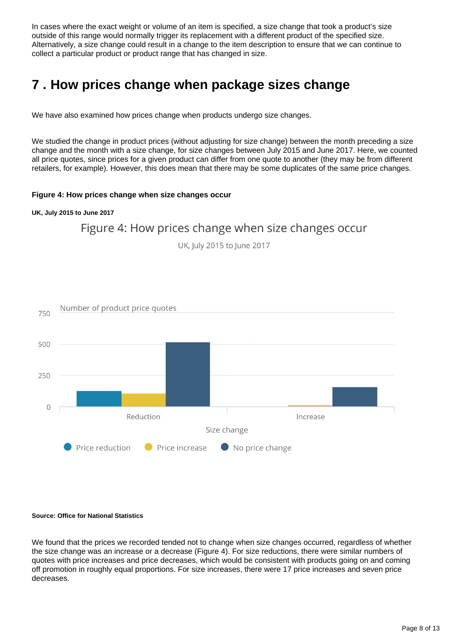In cases where the exact weight or volume of an item is specified, a size change that took a product's size outside of this range would normally trigger its replacement with a different product of the specified size. Alternatively, a size change could result in a change to the item description to ensure that we can continue to collect a particular product or product range that has changed in size.

# <span id="page-7-0"></span>**7 . How prices change when package sizes change**

We have also examined how prices change when products undergo size changes.

We studied the change in product prices (without adjusting for size change) between the month preceding a size change and the month with a size change, for size changes between July 2015 and June 2017. Here, we counted all price quotes, since prices for a given product can differ from one quote to another (they may be from different retailers, for example). However, this does mean that there may be some duplicates of the same price changes.

#### **Figure 4: How prices change when size changes occur**

**UK, July 2015 to June 2017**

### Figure 4: How prices change when size changes occur

UK, July 2015 to June 2017



#### **Source: Office for National Statistics**

We found that the prices we recorded tended not to change when size changes occurred, regardless of whether the size change was an increase or a decrease (Figure 4). For size reductions, there were similar numbers of quotes with price increases and price decreases, which would be consistent with products going on and coming off promotion in roughly equal proportions. For size increases, there were 17 price increases and seven price decreases.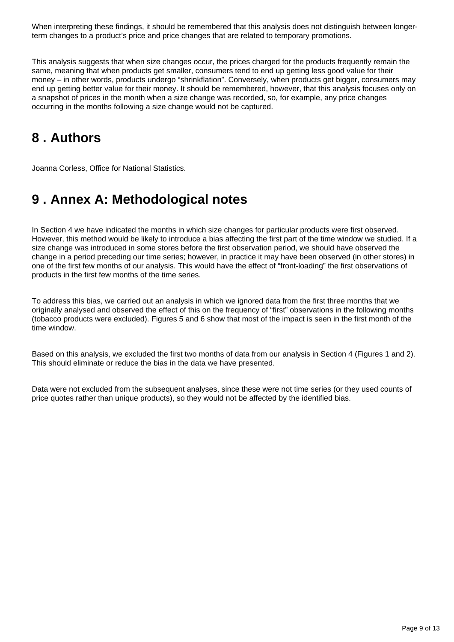When interpreting these findings, it should be remembered that this analysis does not distinguish between longerterm changes to a product's price and price changes that are related to temporary promotions.

This analysis suggests that when size changes occur, the prices charged for the products frequently remain the same, meaning that when products get smaller, consumers tend to end up getting less good value for their money – in other words, products undergo "shrinkflation". Conversely, when products get bigger, consumers may end up getting better value for their money. It should be remembered, however, that this analysis focuses only on a snapshot of prices in the month when a size change was recorded, so, for example, any price changes occurring in the months following a size change would not be captured.

### <span id="page-8-0"></span>**8 . Authors**

Joanna Corless, Office for National Statistics.

# <span id="page-8-1"></span>**9 . Annex A: Methodological notes**

In Section 4 we have indicated the months in which size changes for particular products were first observed. However, this method would be likely to introduce a bias affecting the first part of the time window we studied. If a size change was introduced in some stores before the first observation period, we should have observed the change in a period preceding our time series; however, in practice it may have been observed (in other stores) in one of the first few months of our analysis. This would have the effect of "front-loading" the first observations of products in the first few months of the time series.

To address this bias, we carried out an analysis in which we ignored data from the first three months that we originally analysed and observed the effect of this on the frequency of "first" observations in the following months (tobacco products were excluded). Figures 5 and 6 show that most of the impact is seen in the first month of the time window.

Based on this analysis, we excluded the first two months of data from our analysis in Section 4 (Figures 1 and 2). This should eliminate or reduce the bias in the data we have presented.

Data were not excluded from the subsequent analyses, since these were not time series (or they used counts of price quotes rather than unique products), so they would not be affected by the identified bias.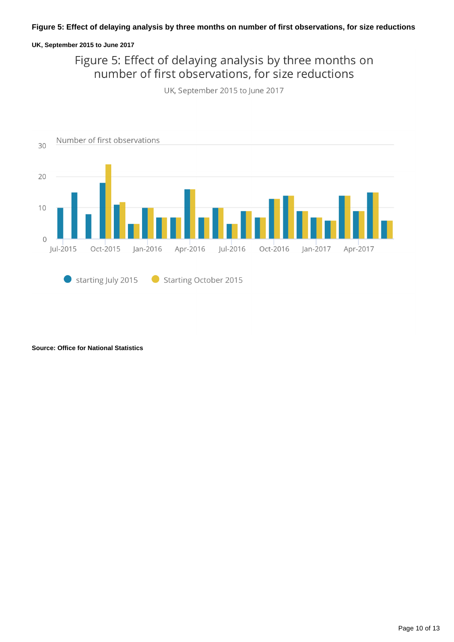#### **Figure 5: Effect of delaying analysis by three months on number of first observations, for size reductions**

#### **UK, September 2015 to June 2017**

### Figure 5: Effect of delaying analysis by three months on number of first observations, for size reductions

UK, September 2015 to June 2017



**Source: Office for National Statistics**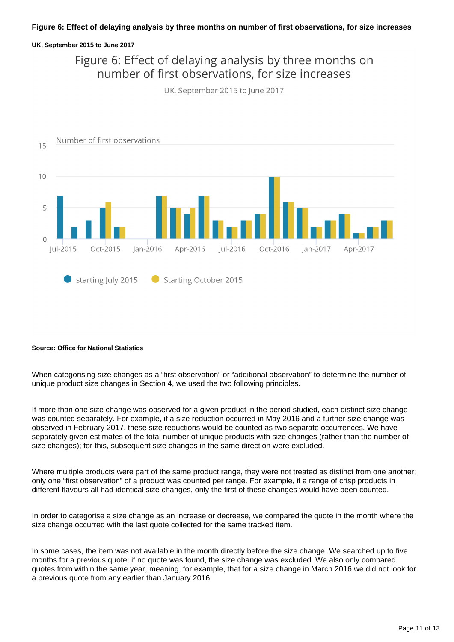#### **Figure 6: Effect of delaying analysis by three months on number of first observations, for size increases**

#### **UK, September 2015 to June 2017**

### Figure 6: Effect of delaying analysis by three months on number of first observations, for size increases

UK, September 2015 to June 2017



#### **Source: Office for National Statistics**

When categorising size changes as a "first observation" or "additional observation" to determine the number of unique product size changes in Section 4, we used the two following principles.

If more than one size change was observed for a given product in the period studied, each distinct size change was counted separately. For example, if a size reduction occurred in May 2016 and a further size change was observed in February 2017, these size reductions would be counted as two separate occurrences. We have separately given estimates of the total number of unique products with size changes (rather than the number of size changes); for this, subsequent size changes in the same direction were excluded.

Where multiple products were part of the same product range, they were not treated as distinct from one another; only one "first observation" of a product was counted per range. For example, if a range of crisp products in different flavours all had identical size changes, only the first of these changes would have been counted.

In order to categorise a size change as an increase or decrease, we compared the quote in the month where the size change occurred with the last quote collected for the same tracked item.

In some cases, the item was not available in the month directly before the size change. We searched up to five months for a previous quote; if no quote was found, the size change was excluded. We also only compared quotes from within the same year, meaning, for example, that for a size change in March 2016 we did not look for a previous quote from any earlier than January 2016.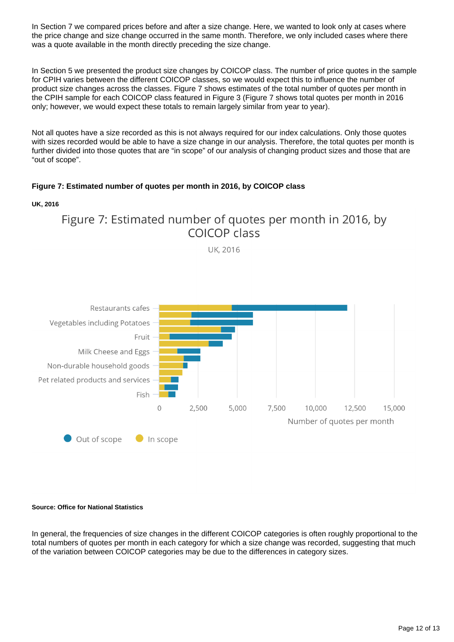In Section 7 we compared prices before and after a size change. Here, we wanted to look only at cases where the price change and size change occurred in the same month. Therefore, we only included cases where there was a quote available in the month directly preceding the size change.

In Section 5 we presented the product size changes by COICOP class. The number of price quotes in the sample for CPIH varies between the different COICOP classes, so we would expect this to influence the number of product size changes across the classes. Figure 7 shows estimates of the total number of quotes per month in the CPIH sample for each COICOP class featured in Figure 3 (Figure 7 shows total quotes per month in 2016 only; however, we would expect these totals to remain largely similar from year to year).

Not all quotes have a size recorded as this is not always required for our index calculations. Only those quotes with sizes recorded would be able to have a size change in our analysis. Therefore, the total quotes per month is further divided into those quotes that are "in scope" of our analysis of changing product sizes and those that are "out of scope".

#### **Figure 7: Estimated number of quotes per month in 2016, by COICOP class**

#### **UK, 2016**



UK. 2016



#### **Source: Office for National Statistics**

In general, the frequencies of size changes in the different COICOP categories is often roughly proportional to the total numbers of quotes per month in each category for which a size change was recorded, suggesting that much of the variation between COICOP categories may be due to the differences in category sizes.